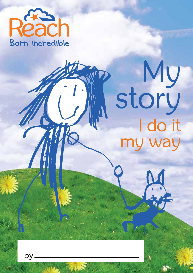

# story I do it my way

by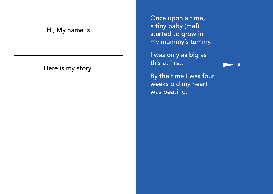#### Hi, My name is

Here is my story.

Once upon a time, a tiny baby (me!) started to grow in my mummy's tummy.

I was only as big as this at first.

By the time I was four weeks old my heart was beating.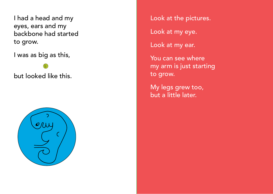I had a head and my eyes, ears and my backbone had started to grow.

I was as big as this,

but looked like this.



Look at the pictures.

Look at my eye.

Look at my ear.

You can see where my arm is just starting to grow.

My legs grew too, but a little later.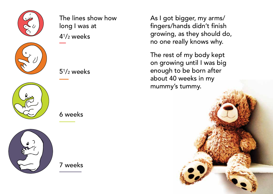

The lines show how long I was at  $4^{1}/2$  weeks







 $5<sup>1</sup>/2$  weeks



7 weeks

As I got bigger, my arms/ fingers/hands didn't finish growing, as they should do, no one really knows why.

The rest of my body kept on growing until I was big enough to be born after about 40 weeks in my mummy's tummy.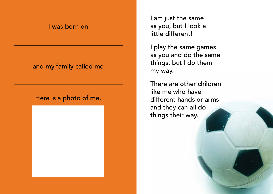#### I was born on

#### and my family called me

#### Here is a photo of me.



I am just the same as you, but I look a little different!

I play the same games as you and do the same things, but I do them my way.

There are other children like me who have different hands or arms and they can all do things their way.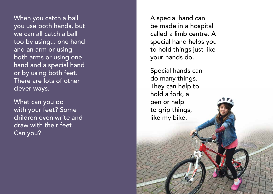When you catch a ball you use both hands, but we can all catch a ball too by using... one hand and an arm or using both arms or using one hand and a special hand or by using both feet. There are lots of other clever ways.

What can you do with your feet? Some children even write and draw with their feet. Can you?

A special hand can be made in a hospital called a limb centre. A special hand helps you to hold things just like your hands do.

Special hands can do many things. They can help to hold a fork, a pen or help to grip things, like my bike.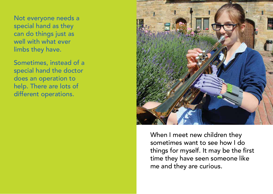Not everyone needs a special hand as they can do things just as well with what ever limbs they have.

Sometimes, instead of a special hand the doctor does an operation to help. There are lots of different operations.



When I meet new children they sometimes want to see how I do things for myself. It may be the first time they have seen someone like me and they are curious.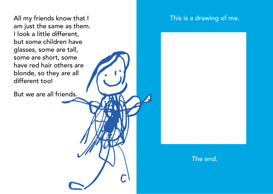All my friends know that I am just the same as them. I look a little different, but some children have glasses, some are tall, some are short, some have red hair others are blonde, so they are all different too!

But we are all friends.

### This is a drawing of me.

#### The end.